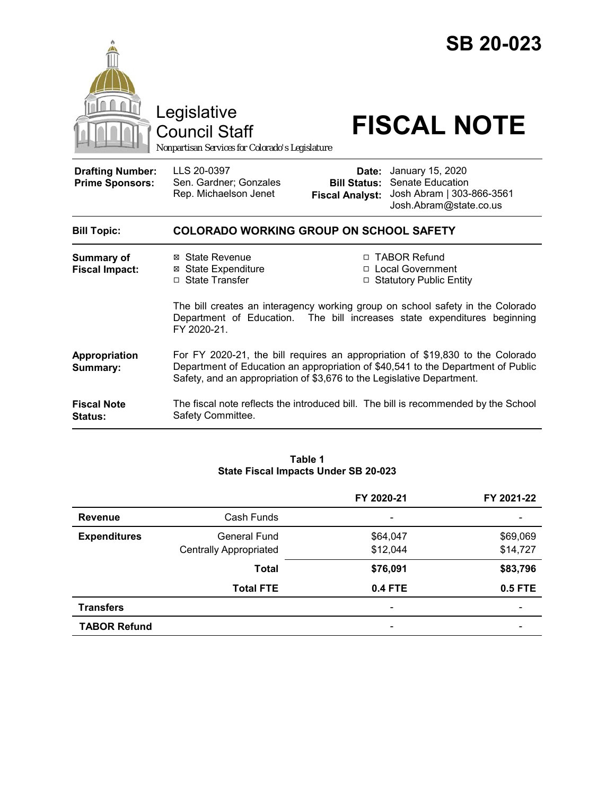

Council Staff

# Legislative<br>
Council Staff **FISCAL NOTE**

*Nonpartisan Services for Colorado's Legislature*

| <b>Drafting Number:</b><br><b>Prime Sponsors:</b> | LLS 20-0397<br>Sen. Gardner; Gonzales<br>Rep. Michaelson Jenet                                                                                                                                                                               | Date:<br><b>Bill Status:</b><br><b>Fiscal Analyst:</b> | January 15, 2020<br>Senate Education<br>Josh Abram   303-866-3561<br>Josh.Abram@state.co.us                                                                                                                                               |
|---------------------------------------------------|----------------------------------------------------------------------------------------------------------------------------------------------------------------------------------------------------------------------------------------------|--------------------------------------------------------|-------------------------------------------------------------------------------------------------------------------------------------------------------------------------------------------------------------------------------------------|
| <b>Bill Topic:</b>                                | <b>COLORADO WORKING GROUP ON SCHOOL SAFETY</b>                                                                                                                                                                                               |                                                        |                                                                                                                                                                                                                                           |
| <b>Summary of</b><br><b>Fiscal Impact:</b>        | ⊠ State Revenue<br><b>⊠ State Expenditure</b><br>□ State Transfer<br>FY 2020-21.                                                                                                                                                             | $\Box$<br>$\Box$                                       | <b>TABOR Refund</b><br>□ Local Government<br><b>Statutory Public Entity</b><br>The bill creates an interagency working group on school safety in the Colorado<br>Department of Education. The bill increases state expenditures beginning |
| Appropriation<br>Summary:                         | For FY 2020-21, the bill requires an appropriation of \$19,830 to the Colorado<br>Department of Education an appropriation of \$40,541 to the Department of Public<br>Safety, and an appropriation of \$3,676 to the Legislative Department. |                                                        |                                                                                                                                                                                                                                           |
| <b>Fiscal Note</b><br><b>Status:</b>              | Safety Committee.                                                                                                                                                                                                                            |                                                        | The fiscal note reflects the introduced bill. The bill is recommended by the School                                                                                                                                                       |

#### **Table 1 State Fiscal Impacts Under SB 20-023**

|                     |                               | FY 2020-21               | FY 2021-22     |
|---------------------|-------------------------------|--------------------------|----------------|
| <b>Revenue</b>      | Cash Funds                    | $\overline{\phantom{a}}$ |                |
| <b>Expenditures</b> | General Fund                  | \$64,047                 | \$69,069       |
|                     | <b>Centrally Appropriated</b> | \$12,044                 | \$14,727       |
|                     | <b>Total</b>                  | \$76,091                 | \$83,796       |
|                     | <b>Total FTE</b>              | <b>0.4 FTE</b>           | <b>0.5 FTE</b> |
| <b>Transfers</b>    |                               | $\overline{\phantom{a}}$ |                |
| <b>TABOR Refund</b> |                               | $\overline{\phantom{a}}$ |                |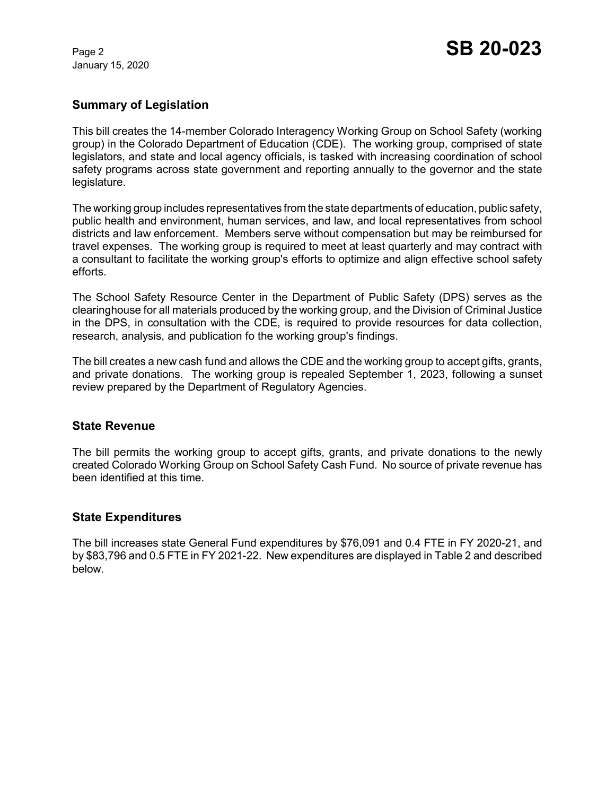January 15, 2020

# **Summary of Legislation**

This bill creates the 14-member Colorado Interagency Working Group on School Safety (working group) in the Colorado Department of Education (CDE). The working group, comprised of state legislators, and state and local agency officials, is tasked with increasing coordination of school safety programs across state government and reporting annually to the governor and the state legislature.

The working group includes representatives from the state departments of education, public safety, public health and environment, human services, and law, and local representatives from school districts and law enforcement. Members serve without compensation but may be reimbursed for travel expenses. The working group is required to meet at least quarterly and may contract with a consultant to facilitate the working group's efforts to optimize and align effective school safety efforts.

The School Safety Resource Center in the Department of Public Safety (DPS) serves as the clearinghouse for all materials produced by the working group, and the Division of Criminal Justice in the DPS, in consultation with the CDE, is required to provide resources for data collection, research, analysis, and publication fo the working group's findings.

The bill creates a new cash fund and allows the CDE and the working group to accept gifts, grants, and private donations. The working group is repealed September 1, 2023, following a sunset review prepared by the Department of Regulatory Agencies.

### **State Revenue**

The bill permits the working group to accept gifts, grants, and private donations to the newly created Colorado Working Group on School Safety Cash Fund. No source of private revenue has been identified at this time.

### **State Expenditures**

The bill increases state General Fund expenditures by \$76,091 and 0.4 FTE in FY 2020-21, and by \$83,796 and 0.5 FTE in FY 2021-22. New expenditures are displayed in Table 2 and described below.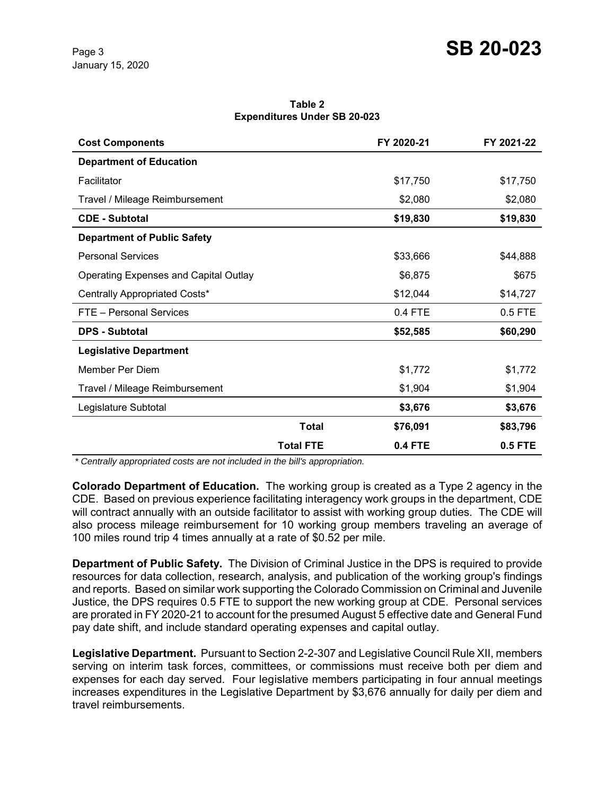**Table 2 Expenditures Under SB 20-023**

| <b>Cost Components</b>                       |                  | FY 2020-21 | FY 2021-22     |
|----------------------------------------------|------------------|------------|----------------|
| <b>Department of Education</b>               |                  |            |                |
| Facilitator                                  |                  | \$17,750   | \$17,750       |
| Travel / Mileage Reimbursement               |                  | \$2,080    | \$2,080        |
| <b>CDE - Subtotal</b>                        |                  | \$19,830   | \$19,830       |
| <b>Department of Public Safety</b>           |                  |            |                |
| <b>Personal Services</b>                     |                  | \$33,666   | \$44,888       |
| <b>Operating Expenses and Capital Outlay</b> |                  | \$6,875    | \$675          |
| Centrally Appropriated Costs*                |                  | \$12,044   | \$14,727       |
| FTE - Personal Services                      |                  | 0.4 FTE    | 0.5 FTE        |
| <b>DPS - Subtotal</b>                        |                  | \$52,585   | \$60,290       |
| <b>Legislative Department</b>                |                  |            |                |
| Member Per Diem                              |                  | \$1,772    | \$1,772        |
| Travel / Mileage Reimbursement               |                  | \$1,904    | \$1,904        |
| Legislature Subtotal                         |                  | \$3,676    | \$3,676        |
|                                              | <b>Total</b>     | \$76,091   | \$83,796       |
|                                              | <b>Total FTE</b> | 0.4 FTE    | <b>0.5 FTE</b> |

 *\* Centrally appropriated costs are not included in the bill's appropriation.*

**Colorado Department of Education.** The working group is created as a Type 2 agency in the CDE. Based on previous experience facilitating interagency work groups in the department, CDE will contract annually with an outside facilitator to assist with working group duties. The CDE will also process mileage reimbursement for 10 working group members traveling an average of 100 miles round trip 4 times annually at a rate of \$0.52 per mile.

**Department of Public Safety.** The Division of Criminal Justice in the DPS is required to provide resources for data collection, research, analysis, and publication of the working group's findings and reports. Based on similar work supporting the Colorado Commission on Criminal and Juvenile Justice, the DPS requires 0.5 FTE to support the new working group at CDE. Personal services are prorated in FY 2020-21 to account for the presumed August 5 effective date and General Fund pay date shift, and include standard operating expenses and capital outlay.

**Legislative Department.** Pursuant to Section 2-2-307 and Legislative Council Rule XII, members serving on interim task forces, committees, or commissions must receive both per diem and expenses for each day served. Four legislative members participating in four annual meetings increases expenditures in the Legislative Department by \$3,676 annually for daily per diem and travel reimbursements.